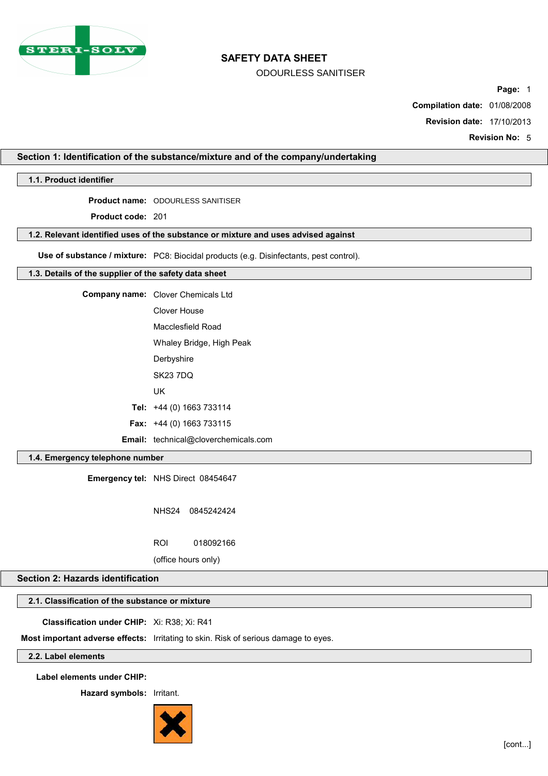

# **SAFETY DATA SHEET**

ODOURLESS SANITISER

**Page:** 1

**Compilation date:** 01/08/2008

**Revision date:** 17/10/2013

**Revision No:** 5

# **Section 1: Identification of the substance/mixture and of the company/undertaking**

**1.1. Product identifier**

**Product name:** ODOURLESS SANITISER

**Product code:** 201

### **1.2. Relevant identified uses of the substance or mixture and uses advised against**

**Use of substance / mixture:** PC8: Biocidal products (e.g. Disinfectants, pest control).

### **1.3. Details of the supplier of the safety data sheet**

**Company name:** Clover Chemicals Ltd Clover House Macclesfield Road Whaley Bridge, High Peak **Derbyshire** 

SK23 7DQ

UK

**Tel:** +44 (0) 1663 733114

**Fax:** +44 (0) 1663 733115

**Email:** technical@cloverchemicals.com

# **1.4. Emergency telephone number**

**Emergency tel:** NHS Direct 08454647

NHS24 0845242424

ROI 018092166

(office hours only)

# **Section 2: Hazards identification**

# **2.1. Classification of the substance or mixture**

**Classification under CHIP:** Xi: R38; Xi: R41

**Most important adverse effects:** Irritating to skin. Risk of serious damage to eyes.

# **2.2. Label elements**

**Label elements under CHIP:**

**Hazard symbols:** Irritant.

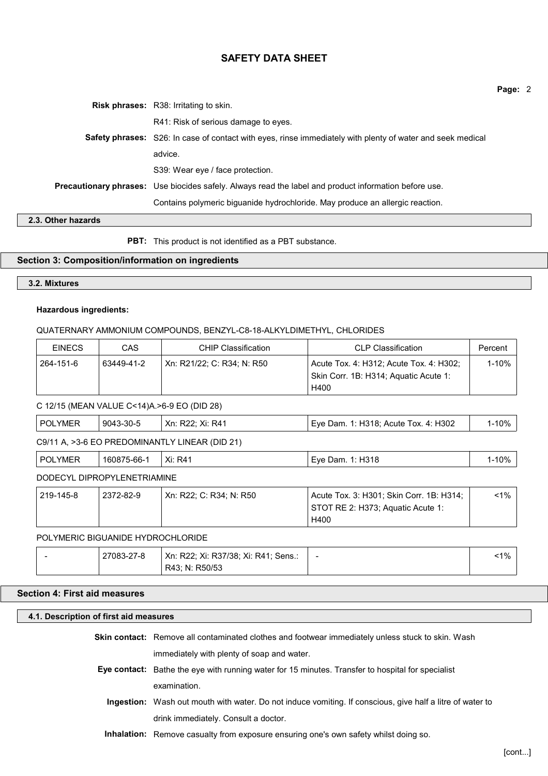# **SAFETY DATA SHEET**

|  | <b>Risk phrases:</b> R38: Irritating to skin.                                                                |
|--|--------------------------------------------------------------------------------------------------------------|
|  | R41: Risk of serious damage to eyes.                                                                         |
|  | Safety phrases: S26: In case of contact with eyes, rinse immediately with plenty of water and seek medical   |
|  | advice.                                                                                                      |
|  | S39: Wear eye / face protection.                                                                             |
|  | <b>Precautionary phrases:</b> Use biocides safely. Always read the label and product information before use. |
|  | Contains polymeric biguanide hydrochloride. May produce an allergic reaction.                                |

# **2.3. Other hazards**

**PBT:** This product is not identified as a PBT substance.

# **Section 3: Composition/information on ingredients**

# **3.2. Mixtures**

# **Hazardous ingredients:**

# QUATERNARY AMMONIUM COMPOUNDS, BENZYL-C8-18-ALKYLDIMETHYL, CHLORIDES

| <b>EINECS</b> | CAS        | CHIP Classification        | <b>CLP Classification</b>                                                                | Percent |
|---------------|------------|----------------------------|------------------------------------------------------------------------------------------|---------|
| 264-151-6     | 63449-41-2 | Xn: R21/22: C: R34: N: R50 | Acute Tox. 4: H312; Acute Tox. 4: H302;<br>Skin Corr. 1B: H314; Aquatic Acute 1:<br>H400 | 1-10%   |

### C 12/15 (MEAN VALUE C<14)A.>6-9 EO (DID 28)

| POLYMER | 9043-30-5 | Xn: R22: Xi: R41 | Eve Dam. 1: H318: Acute Tox. 4: H302 | l-10% |
|---------|-----------|------------------|--------------------------------------|-------|
|---------|-----------|------------------|--------------------------------------|-------|

C9/11 A, >3-6 EO PREDOMINANTLY LINEAR (DID 21)

| . PO<br>'NIE | $.75-66-.$<br><b>1608</b> | Xi:<br>R4 | ິ<br><b>LVA</b><br>)am<br>- | رہ 1<br>$\overline{\phantom{a}}$ |  |  |
|--------------|---------------------------|-----------|-----------------------------|----------------------------------|--|--|
| R            |                           |           |                             |                                  |  |  |

# DODECYL DIPROPYLENETRIAMINE

| 219-145-8 | 2372-82-9 | ' Xn: R22: C: R34: N: R50 | Acute Tox. 3: H301; Skin Corr. 1B: H314; | $<$ 1% |
|-----------|-----------|---------------------------|------------------------------------------|--------|
|           |           |                           | STOT RE 2: H373; Aguatic Acute 1:        |        |
|           |           |                           | H400                                     |        |

# POLYMERIC BIGUANIDE HYDROCHLORIDE

|  | 27083-27-8 | Xn: R22; Xi: R37/38; Xi: R41; Sens.: | $\overline{\phantom{a}}$ | $1\%$ |  |
|--|------------|--------------------------------------|--------------------------|-------|--|
|  |            | R43: N: R50/53                       |                          |       |  |

# **Section 4: First aid measures**

### **4.1. Description of first aid measures**

| Skin contact: Remove all contaminated clothes and footwear immediately unless stuck to skin. Wash |
|---------------------------------------------------------------------------------------------------|
| immediately with plenty of soap and water.                                                        |

- **Eye contact:** Bathe the eye with running water for 15 minutes. Transfer to hospital for specialist examination.
	- **Ingestion:** Wash out mouth with water. Do not induce vomiting. If conscious, give half a litre of water to drink immediately. Consult a doctor.
	- **Inhalation:** Remove casualty from exposure ensuring one's own safety whilst doing so.

**Page:** 2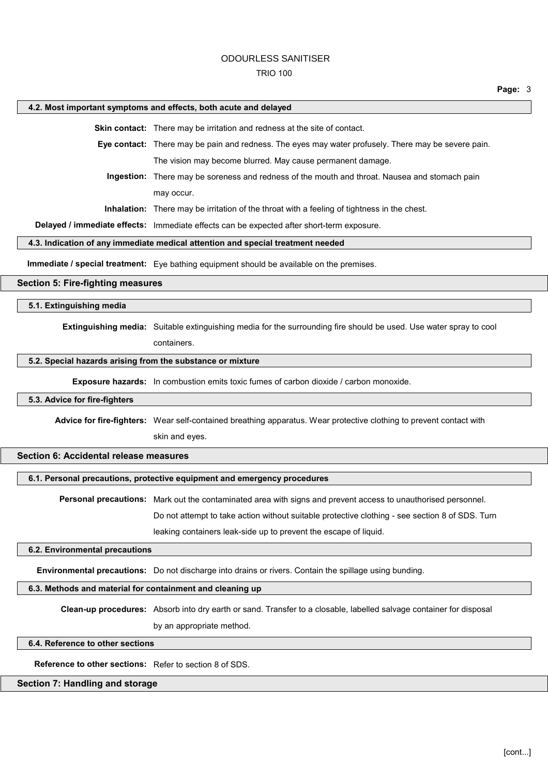#### TRIO 100

#### **Page:** 3

#### **4.2. Most important symptoms and effects, both acute and delayed**

**Skin contact:** There may be irritation and redness at the site of contact.

**Eye contact:** There may be pain and redness. The eyes may water profusely. There may be severe pain. The vision may become blurred. May cause permanent damage.

**Ingestion:** There may be soreness and redness of the mouth and throat. Nausea and stomach pain may occur.

**Inhalation:** There may be irritation of the throat with a feeling of tightness in the chest.

**Delayed / immediate effects:** Immediate effects can be expected after short-term exposure.

#### **4.3. Indication of any immediate medical attention and special treatment needed**

**Immediate / special treatment:** Eye bathing equipment should be available on the premises.

# **Section 5: Fire-fighting measures**

**5.1. Extinguishing media**

**Extinguishing media:** Suitable extinguishing media for the surrounding fire should be used. Use water spray to cool

containers.

### **5.2. Special hazards arising from the substance or mixture**

**Exposure hazards:** In combustion emits toxic fumes of carbon dioxide / carbon monoxide.

#### **5.3. Advice for fire-fighters**

**Advice for fire-fighters:** Wear self-contained breathing apparatus. Wear protective clothing to prevent contact with

skin and eyes.

# **Section 6: Accidental release measures**

**6.1. Personal precautions, protective equipment and emergency procedures**

**Personal precautions:** Mark out the contaminated area with signs and prevent access to unauthorised personnel.

Do not attempt to take action without suitable protective clothing - see section 8 of SDS. Turn

leaking containers leak-side up to prevent the escape of liquid.

#### **6.2. Environmental precautions**

**Environmental precautions:** Do not discharge into drains or rivers. Contain the spillage using bunding.

# **6.3. Methods and material for containment and cleaning up**

**Clean-up procedures:** Absorb into dry earth or sand. Transfer to a closable, labelled salvage container for disposal by an appropriate method.

#### **6.4. Reference to other sections**

**Reference to other sections:** Refer to section 8 of SDS.

# **Section 7: Handling and storage**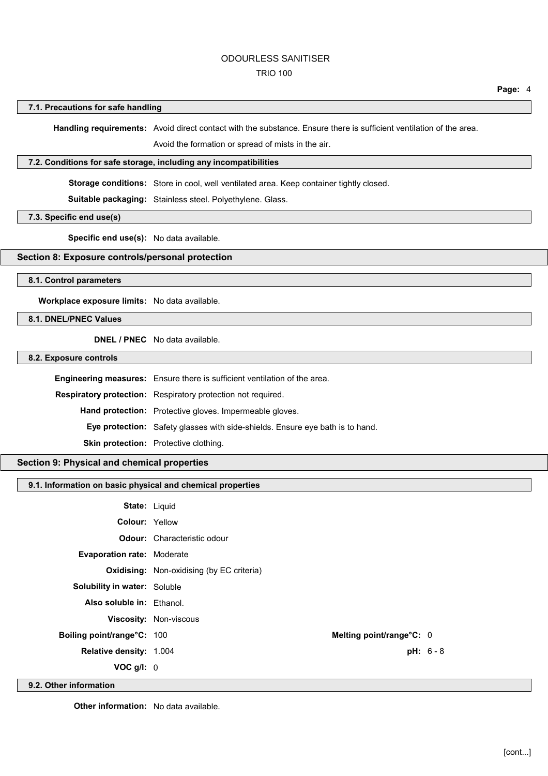# TRIO 100

### **7.1. Precautions for safe handling**

**Handling requirements:** Avoid direct contact with the substance. Ensure there is sufficient ventilation of the area.

Avoid the formation or spread of mists in the air.

#### **7.2. Conditions for safe storage, including any incompatibilities**

Storage conditions: Store in cool, well ventilated area. Keep container tightly closed.

**Suitable packaging:** Stainless steel. Polyethylene. Glass.

**7.3. Specific end use(s)**

**Specific end use(s):** No data available.

# **Section 8: Exposure controls/personal protection**

# **8.1. Control parameters**

**Workplace exposure limits:** No data available.

# **8.1. DNEL/PNEC Values**

**DNEL / PNEC** No data available.

# **8.2. Exposure controls**

| Engineering measures: Ensure there is sufficient ventilation of the area.            |
|--------------------------------------------------------------------------------------|
| <b>Respiratory protection:</b> Respiratory protection not required.                  |
| Hand protection: Protective gloves. Impermeable gloves.                              |
| <b>Eye protection:</b> Safety glasses with side-shields. Ensure eye bath is to hand. |
| <b>Skin protection:</b> Protective clothing.                                         |

### **Section 9: Physical and chemical properties**

### **9.1. Information on basic physical and chemical properties**

| <b>State: Liquid</b>                |                                                  |                          |  |
|-------------------------------------|--------------------------------------------------|--------------------------|--|
| <b>Colour: Yellow</b>               |                                                  |                          |  |
|                                     | <b>Odour:</b> Characteristic odour               |                          |  |
| <b>Evaporation rate: Moderate</b>   |                                                  |                          |  |
|                                     | <b>Oxidising:</b> Non-oxidising (by EC criteria) |                          |  |
| <b>Solubility in water: Soluble</b> |                                                  |                          |  |
| Also soluble in: Ethanol.           |                                                  |                          |  |
|                                     | <b>Viscosity: Non-viscous</b>                    |                          |  |
| Boiling point/range°C: 100          |                                                  | Melting point/range°C: 0 |  |
| <b>Relative density: 1.004</b>      |                                                  | $pH: 6 - 8$              |  |
| $VOC$ g/l: $0$                      |                                                  |                          |  |
|                                     |                                                  |                          |  |

**9.2. Other information**

**Other information:** No data available.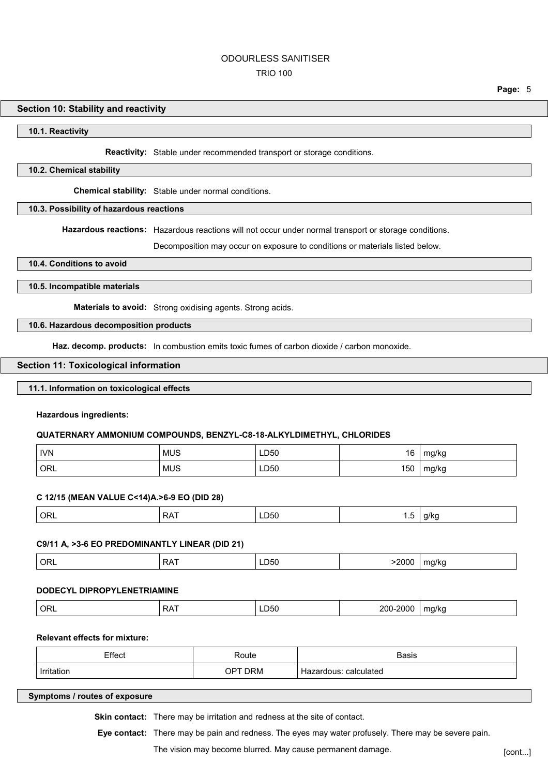#### TRIO 100

### **Section 10: Stability and reactivity**

#### **10.1. Reactivity**

**Reactivity:** Stable under recommended transport or storage conditions.

### **10.2. Chemical stability**

**Chemical stability:** Stable under normal conditions.

### **10.3. Possibility of hazardous reactions**

**Hazardous reactions:** Hazardous reactions will not occur under normal transport or storage conditions.

Decomposition may occur on exposure to conditions or materials listed below.

### **10.4. Conditions to avoid**

### **10.5. Incompatible materials**

**Materials to avoid:** Strong oxidising agents. Strong acids.

### **10.6. Hazardous decomposition products**

**Haz. decomp. products:** In combustion emits toxic fumes of carbon dioxide / carbon monoxide.

#### **Section 11: Toxicological information**

# **11.1. Information on toxicological effects**

#### **Hazardous ingredients:**

#### **QUATERNARY AMMONIUM COMPOUNDS, BENZYL-C8-18-ALKYLDIMETHYL, CHLORIDES**

| <b>IVN</b>         | <b>MUS</b>       | LD50        | 16  | mg/kg |
|--------------------|------------------|-------------|-----|-------|
| $\overline{O}$ ORL | <b>MUS</b><br>__ | LD50<br>___ | 150 | mg/kg |

### **C 12/15 (MEAN VALUE C<14)A.>6-9 EO (DID 28)**

| $^{\circ}$ ORL | `RΔ.<br>ו רעי | ---<br>LD50 | ن. ا |  |
|----------------|---------------|-------------|------|--|
|                |               |             |      |  |

#### **C9/11 A, >3-6 EO PREDOMINANTLY LINEAR (DID 21)**

| ' OR∟ | .<br>RA | ∟∪ാ∪<br>$- - -$ | 2000<br>$\sim$ | ma/ka<br>. . |
|-------|---------|-----------------|----------------|--------------|
|       |         |                 |                |              |

# **DODECYL DIPROPYLENETRIAMINE**

|  | ' ORL | D A T<br>N<br>. . | ∟∪ാ∪<br>____ | 200-<br>2000 | ma/ka<br>ີ<br>. . |
|--|-------|-------------------|--------------|--------------|-------------------|
|--|-------|-------------------|--------------|--------------|-------------------|

# **Relevant effects for mixture:**

| Effect     | Route                  | Basis                    |
|------------|------------------------|--------------------------|
| Irritation | דסר<br><b>DRM</b><br>ັ | calculated<br>Hazardous: |

# **Symptoms / routes of exposure**

**Skin contact:** There may be irritation and redness at the site of contact.

**Eye contact:** There may be pain and redness. The eyes may water profusely. There may be severe pain.

The vision may become blurred. May cause permanent damage. [cont...]

**Page:** 5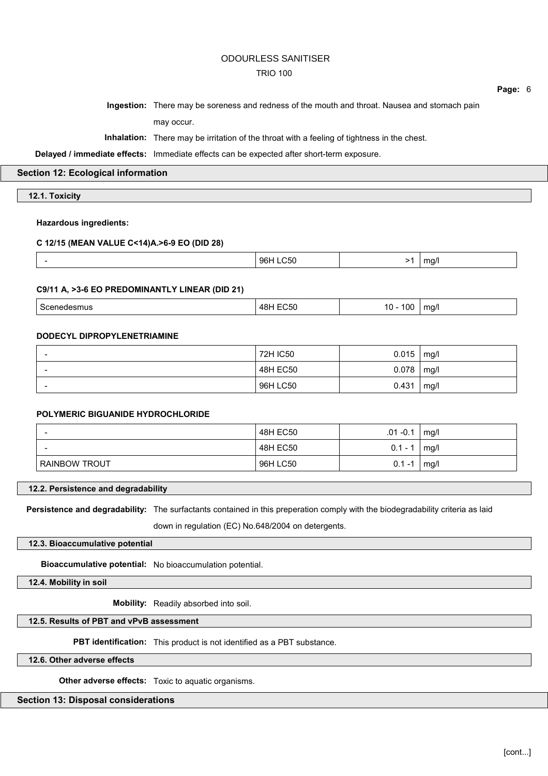# TRIO 100

**Page:** 6

**Ingestion:** There may be soreness and redness of the mouth and throat. Nausea and stomach pain may occur.

**Inhalation:** There may be irritation of the throat with a feeling of tightness in the chest.

**Delayed / immediate effects:** Immediate effects can be expected after short-term exposure.

**Section 12: Ecological information**

**12.1. Toxicity**

# **Hazardous ingredients:**

### **C 12/15 (MEAN VALUE C<14)A.>6-9 EO (DID 28)**

### **C9/11 A, >3-6 EO PREDOMINANTLY LINEAR (DID 21)**

| . .<br>48 I<br>. | $\sim$<br>1 r<br>~<br>. .<br>$\sim$ $\sim$ | $m\alpha$<br>. . |
|------------------|--------------------------------------------|------------------|
|------------------|--------------------------------------------|------------------|

### **DODECYL DIPROPYLENETRIAMINE**

| $\overline{\phantom{0}}$ | 72H IC50 | $0.015$   mg/l |      |
|--------------------------|----------|----------------|------|
| $\overline{\phantom{0}}$ | 48H EC50 | 0.078          | mg/l |
|                          | 96H LC50 | 0.431          | mg/l |

### **POLYMERIC BIGUANIDE HYDROCHLORIDE**

|                      | 48H EC50 | $.01 - 0.1$ | mg/l |
|----------------------|----------|-------------|------|
|                      | 48H EC50 | $0.1 - 1$   | mg/l |
| <b>RAINBOW TROUT</b> | 96H LC50 | 0.1<br>-1   | mg/l |

# **12.2. Persistence and degradability**

**Persistence and degradability:** The surfactants contained in this preperation comply with the biodegradability criteria as laid down in regulation (EC) No.648/2004 on detergents.

### **12.3. Bioaccumulative potential**

**Bioaccumulative potential:** No bioaccumulation potential.

**12.4. Mobility in soil**

**Mobility:** Readily absorbed into soil.

# **12.5. Results of PBT and vPvB assessment**

**PBT identification:** This product is not identified as a PBT substance.

**12.6. Other adverse effects**

**Other adverse effects:** Toxic to aquatic organisms.

# **Section 13: Disposal considerations**